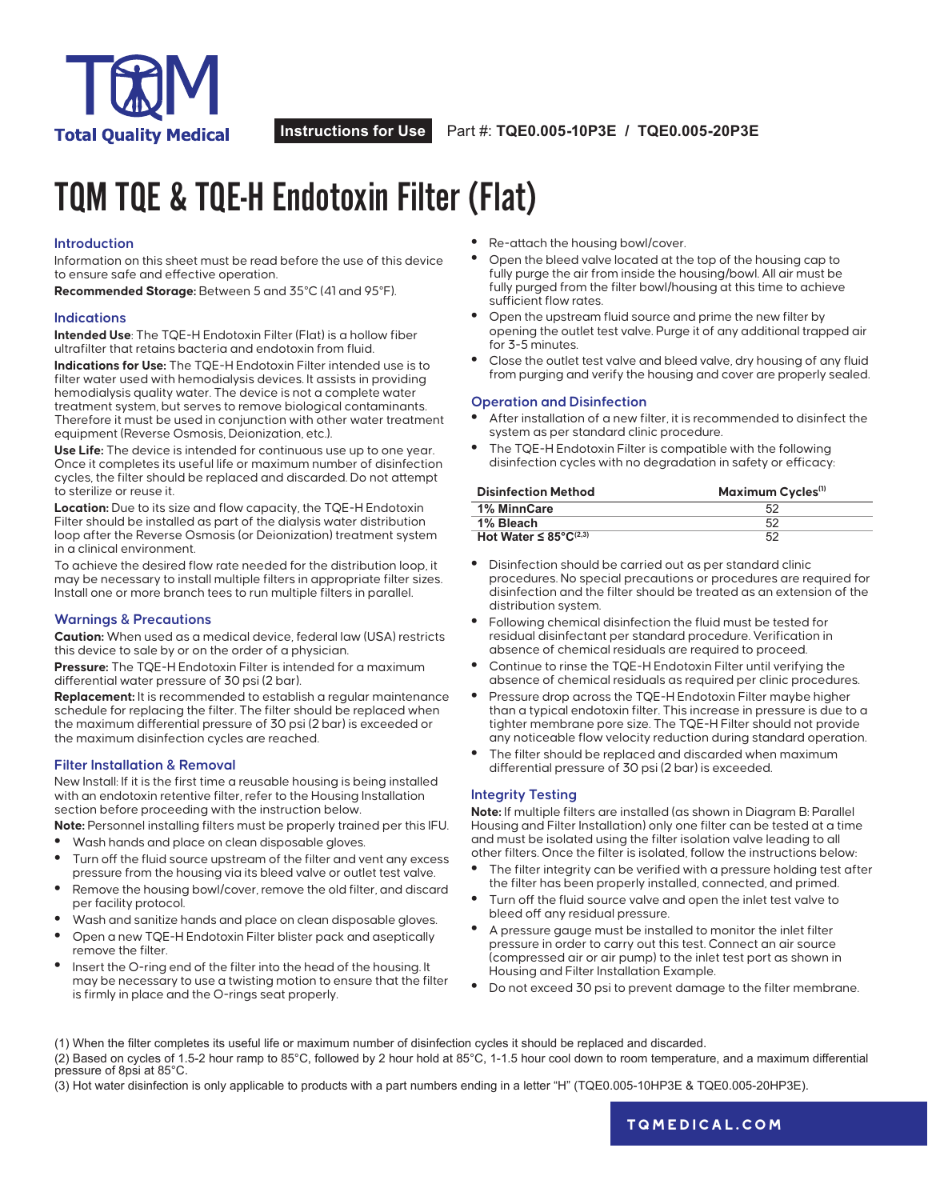

# TQM TQE & TQE-H Endotoxin Filter (Flat)

### **Introduction**

Information on this sheet must be read before the use of this device to ensure safe and effective operation.

**Recommended Storage:** Between 5 and 35°C (41 and 95°F).

### **Indications**

**Intended Use**: The TQE-H Endotoxin Filter (Flat) is a hollow fiber ultrafilter that retains bacteria and endotoxin from fluid.

**Indications for Use:** The TQE-H Endotoxin Filter intended use is to filter water used with hemodialysis devices. It assists in providing hemodialysis quality water. The device is not a complete water treatment system, but serves to remove biological contaminants. Therefore it must be used in conjunction with other water treatment equipment (Reverse Osmosis, Deionization, etc.).

**Use Life:** The device is intended for continuous use up to one year. Once it completes its useful life or maximum number of disinfection cycles, the filter should be replaced and discarded. Do not attempt to sterilize or reuse it.

**Location:** Due to its size and flow capacity, the TQE-H Endotoxin Filter should be installed as part of the dialysis water distribution loop after the Reverse Osmosis (or Deionization) treatment system in a clinical environment.

To achieve the desired flow rate needed for the distribution loop, it may be necessary to install multiple filters in appropriate filter sizes. Install one or more branch tees to run multiple filters in parallel.

### **Warnings & Precautions**

**Caution:** When used as a medical device, federal law (USA) restricts this device to sale by or on the order of a physician.

**Pressure:** The TQE-H Endotoxin Filter is intended for a maximum differential water pressure of 30 psi (2 bar).

**Replacement:** It is recommended to establish a regular maintenance schedule for replacing the filter. The filter should be replaced when the maximum differential pressure of 30 psi (2 bar) is exceeded or the maximum disinfection cycles are reached.

### **Filter Installation & Removal**

New Install: If it is the first time a reusable housing is being installed with an endotoxin retentive filter, refer to the Housing Installation section before proceeding with the instruction below.

**Note:** Personnel installing filters must be properly trained per this IFU.

- **•** Wash hands and place on clean disposable gloves. **•** Turn off the fluid source upstream of the filter and vent any excess pressure from the housing via its bleed valve or outlet test valve.
- **•** Remove the housing bowl/cover, remove the old filter, and discard per facility protocol.
- **•** Wash and sanitize hands and place on clean disposable gloves.
- **•** Open a new TQE-H Endotoxin Filter blister pack and aseptically remove the filter.
- **•** Insert the O-ring end of the filter into the head of the housing. It may be necessary to use a twisting motion to ensure that the filter is firmly in place and the O-rings seat properly.
- **•** Re-attach the housing bowl/cover.
- **•** Open the bleed valve located at the top of the housing cap to fully purge the air from inside the housing/bowl. All air must be fully purged from the filter bowl/housing at this time to achieve sufficient flow rates.
- **•** Open the upstream fluid source and prime the new filter by opening the outlet test valve. Purge it of any additional trapped air for 3-5 minutes.
- **•** Close the outlet test valve and bleed valve, dry housing of any fluid from purging and verify the housing and cover are properly sealed.

### **Operation and Disinfection**

- **•** After installation of a new filter, it is recommended to disinfect the system as per standard clinic procedure.
- **•** The TQE-H Endotoxin Filter is compatible with the following disinfection cycles with no degradation in safety or efficacy:

| <b>Disinfection Method</b> | Maximum Cycles <sup>(1)</sup> |
|----------------------------|-------------------------------|
| 1% MinnCare                | .52                           |
| 1% Bleach                  | 52                            |
| Hot Water $\leq$ 85°C(2,3) | 52                            |

- **•** Disinfection should be carried out as per standard clinic procedures. No special precautions or procedures are required for disinfection and the filter should be treated as an extension of the distribution system.
- **•** Following chemical disinfection the fluid must be tested for residual disinfectant per standard procedure. Verification in absence of chemical residuals are required to proceed.
- **•** Continue to rinse the TQE-H Endotoxin Filter until verifying the absence of chemical residuals as required per clinic procedures.
- **•** Pressure drop across the TQE-H Endotoxin Filter maybe higher than a typical endotoxin filter. This increase in pressure is due to a tighter membrane pore size. The TQE-H Filter should not provide any noticeable flow velocity reduction during standard operation.
- **•** The filter should be replaced and discarded when maximum differential pressure of 30 psi (2 bar) is exceeded.

### **Integrity Testing**

**Note:** If multiple filters are installed (as shown in Diagram B: Parallel Housing and Filter Installation) only one filter can be tested at a time and must be isolated using the filter isolation valve leading to all other filters. Once the filter is isolated, follow the instructions below:

- **•** The filter integrity can be verified with a pressure holding test after the filter has been properly installed, connected, and primed.
- **•** Turn off the fluid source valve and open the inlet test valve to bleed off any residual pressure.
- **•** A pressure gauge must be installed to monitor the inlet filter pressure in order to carry out this test. Connect an air source (compressed air or air pump) to the inlet test port as shown in Housing and Filter Installation Example.
- **•** Do not exceed 30 psi to prevent damage to the filter membrane.

(1) When the filter completes its useful life or maximum number of disinfection cycles it should be replaced and discarded.

(2) Based on cycles of 1.5-2 hour ramp to 85°C, followed by 2 hour hold at 85°C, 1-1.5 hour cool down to room temperature, and a maximum differential pressure of 8psi at 85°C.

(3) Hot water disinfection is only applicable to products with a part numbers ending in a letter "H" (TQE0.005-10HP3E & TQE0.005-20HP3E).

**[tqmedical.com](https://www.nephros.com/)**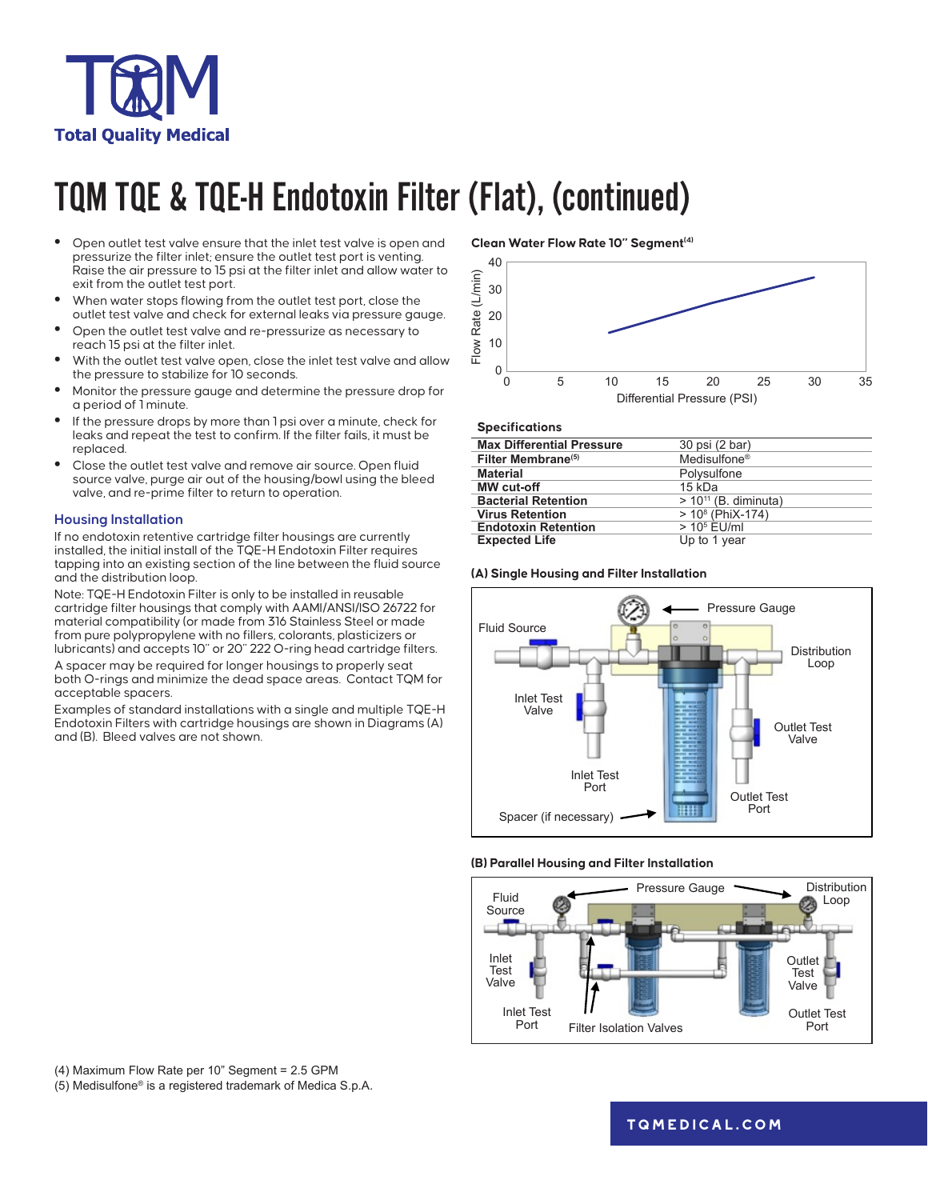

# TQM TQE & TQE-H Endotoxin Filter (Flat), (continued)

- **•** Open outlet test valve ensure that the inlet test valve is open and pressurize the filter inlet; ensure the outlet test port is venting. Raise the air pressure to 15 psi at the filter inlet and allow water to exit from the outlet test port.
- **•** When water stops flowing from the outlet test port, close the outlet test valve and check for external leaks via pressure gauge.
- **•** Open the outlet test valve and re-pressurize as necessary to reach 15 psi at the filter inlet.
- **•** With the outlet test valve open, close the inlet test valve and allow the pressure to stabilize for 10 seconds.
- **•** Monitor the pressure gauge and determine the pressure drop for a period of 1 minute.
- **•** If the pressure drops by more than 1 psi over a minute, check for leaks and repeat the test to confirm. If the filter fails, it must be replaced.
- **•** Close the outlet test valve and remove air source. Open fluid source valve, purge air out of the housing/bowl using the bleed valve, and re-prime filter to return to operation.

### **Housing Installation**

If no endotoxin retentive cartridge filter housings are currently installed, the initial install of the TQE-H Endotoxin Filter requires tapping into an existing section of the line between the fluid source and the distribution loop.

Note: TQE-H Endotoxin Filter is only to be installed in reusable cartridge filter housings that comply with AAMI/ANSI/ISO 26722 for material compatibility (or made from 316 Stainless Steel or made from pure polypropylene with no fillers, colorants, plasticizers or lubricants) and accepts 10" or 20" 222 O-ring head cartridge filters.

A spacer may be required for longer housings to properly seat both O-rings and minimize the dead space areas. Contact TQM for acceptable spacers.

Examples of standard installations with a single and multiple TQE-H Endotoxin Filters with cartridge housings are shown in Diagrams (A) and (B). Bleed valves are not shown.

**Clean Water Flow Rate 10" Segment(4)**



#### **Specifications**

| <b>Max Differential Pressure</b> | 30 psi (2 bar)            |
|----------------------------------|---------------------------|
| Filter Membrane <sup>(5)</sup>   | Medisulfone <sup>®</sup>  |
| <b>Material</b>                  | Polysulfone               |
| <b>MW</b> cut-off                | 15 kDa                    |
| <b>Bacterial Retention</b>       | $> 10^{11}$ (B. diminuta) |
| <b>Virus Retention</b>           | $> 108$ (PhiX-174)        |
| <b>Endotoxin Retention</b>       | $> 105$ EU/ml             |
| <b>Expected Life</b>             | Up to 1 year              |

### **(A) Single Housing and Filter Installation**



#### **(B) Parallel Housing and Filter Installation**



(4) Maximum Flow Rate per 10" Segment = 2.5 GPM (5) Medisulfone® is a registered trademark of Medica S.p.A.

**[tqmedical.com](https://www.nephros.com/)**